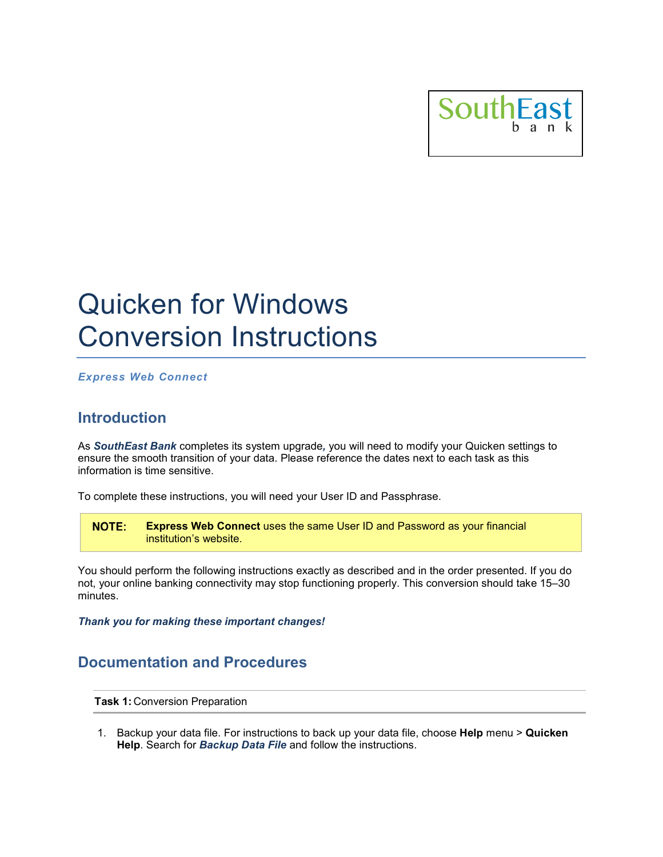

# Quicken for Windows Conversion Instructions

*Express Web Connect*

### **Introduction**

As *SouthEast Bank* completes its system upgrade*,* you will need to modify your Quicken settings to ensure the smooth transition of your data. Please reference the dates next to each task as this information is time sensitive.

To complete these instructions, you will need your User ID and Passphrase.

NOTE: **Express Web Connect** uses the same User ID and Password as your financial institution's website.

You should perform the following instructions exactly as described and in the order presented. If you do not, your online banking connectivity may stop functioning properly. This conversion should take 15–30 minutes.

*Thank you for making these important changes!*

## **Documentation and Procedures**

**Task 1:** Conversion Preparation

1. Backup your data file. For instructions to back up your data file, choose **Help** menu > **Quicken Help**. Search for *Backup Data File* and follow the instructions.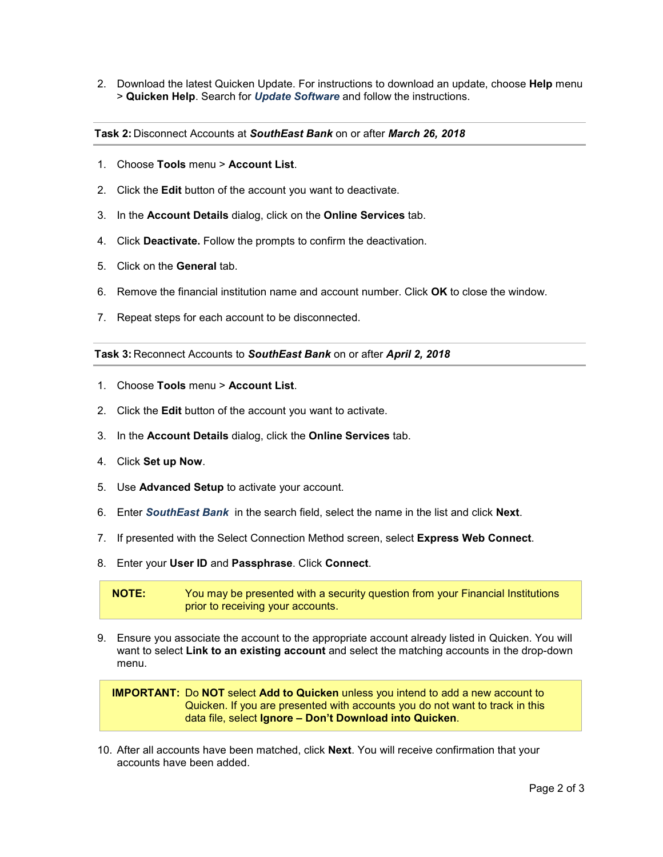2. Download the latest Quicken Update. For instructions to download an update, choose **Help** menu > **Quicken Help**. Search for *Update Software* and follow the instructions.

**Task 2:** Disconnect Accounts at *SouthEast Bank* on or after *March 26, 2018*

- 1. Choose **Tools** menu > **Account List**.
- 2. Click the **Edit** button of the account you want to deactivate.
- 3. In the **Account Details** dialog, click on the **Online Services** tab.
- 4. Click **Deactivate.** Follow the prompts to confirm the deactivation.
- 5. Click on the **General** tab.
- 6. Remove the financial institution name and account number. Click **OK** to close the window.
- 7. Repeat steps for each account to be disconnected.

#### **Task 3:** Reconnect Accounts to *SouthEast Bank* on or after *April 2, 2018*

- 1. Choose **Tools** menu > **Account List**.
- 2. Click the **Edit** button of the account you want to activate.
- 3. In the **Account Details** dialog, click the **Online Services** tab.
- 4. Click **Set up Now**.
- 5. Use **Advanced Setup** to activate your account.
- 6. Enter *SouthEast Bank* in the search field, select the name in the list and click **Next**.
- 7. If presented with the Select Connection Method screen, select **Express Web Connect**.
- 8. Enter your **User ID** and **Passphrase**. Click **Connect**.

**NOTE:** You may be presented with a security question from your Financial Institutions prior to receiving your accounts.

9. Ensure you associate the account to the appropriate account already listed in Quicken. You will want to select **Link to an existing account** and select the matching accounts in the drop-down menu.

**IMPORTANT:** Do **NOT** select **Add to Quicken** unless you intend to add a new account to Quicken. If you are presented with accounts you do not want to track in this data file, select **Ignore – Don't Download into Quicken**.

10. After all accounts have been matched, click **Next**. You will receive confirmation that your accounts have been added.